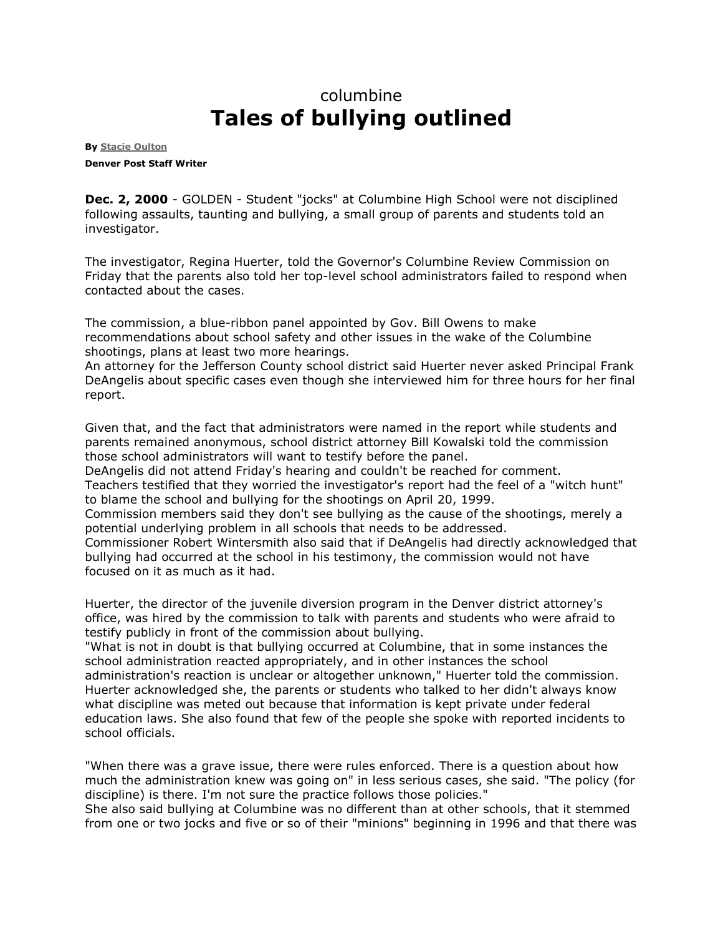## columbine **Tales of bullying outlined**

**By [Stacie Oulton](mailto:soulton@denverpost.com) Denver Post Staff Writer**

**Dec. 2, 2000** - GOLDEN - Student "jocks" at Columbine High School were not disciplined following assaults, taunting and bullying, a small group of parents and students told an investigator.

The investigator, Regina Huerter, told the Governor's Columbine Review Commission on Friday that the parents also told her top-level school administrators failed to respond when contacted about the cases.

The commission, a blue-ribbon panel appointed by Gov. Bill Owens to make recommendations about school safety and other issues in the wake of the Columbine shootings, plans at least two more hearings.

An attorney for the Jefferson County school district said Huerter never asked Principal Frank DeAngelis about specific cases even though she interviewed him for three hours for her final report.

Given that, and the fact that administrators were named in the report while students and parents remained anonymous, school district attorney Bill Kowalski told the commission those school administrators will want to testify before the panel.

DeAngelis did not attend Friday's hearing and couldn't be reached for comment. Teachers testified that they worried the investigator's report had the feel of a "witch hunt" to blame the school and bullying for the shootings on April 20, 1999.

Commission members said they don't see bullying as the cause of the shootings, merely a potential underlying problem in all schools that needs to be addressed.

Commissioner Robert Wintersmith also said that if DeAngelis had directly acknowledged that bullying had occurred at the school in his testimony, the commission would not have focused on it as much as it had.

Huerter, the director of the juvenile diversion program in the Denver district attorney's office, was hired by the commission to talk with parents and students who were afraid to testify publicly in front of the commission about bullying.

"What is not in doubt is that bullying occurred at Columbine, that in some instances the school administration reacted appropriately, and in other instances the school administration's reaction is unclear or altogether unknown," Huerter told the commission. Huerter acknowledged she, the parents or students who talked to her didn't always know what discipline was meted out because that information is kept private under federal education laws. She also found that few of the people she spoke with reported incidents to school officials.

"When there was a grave issue, there were rules enforced. There is a question about how much the administration knew was going on" in less serious cases, she said. "The policy (for discipline) is there. I'm not sure the practice follows those policies."

She also said bullying at Columbine was no different than at other schools, that it stemmed from one or two jocks and five or so of their "minions" beginning in 1996 and that there was